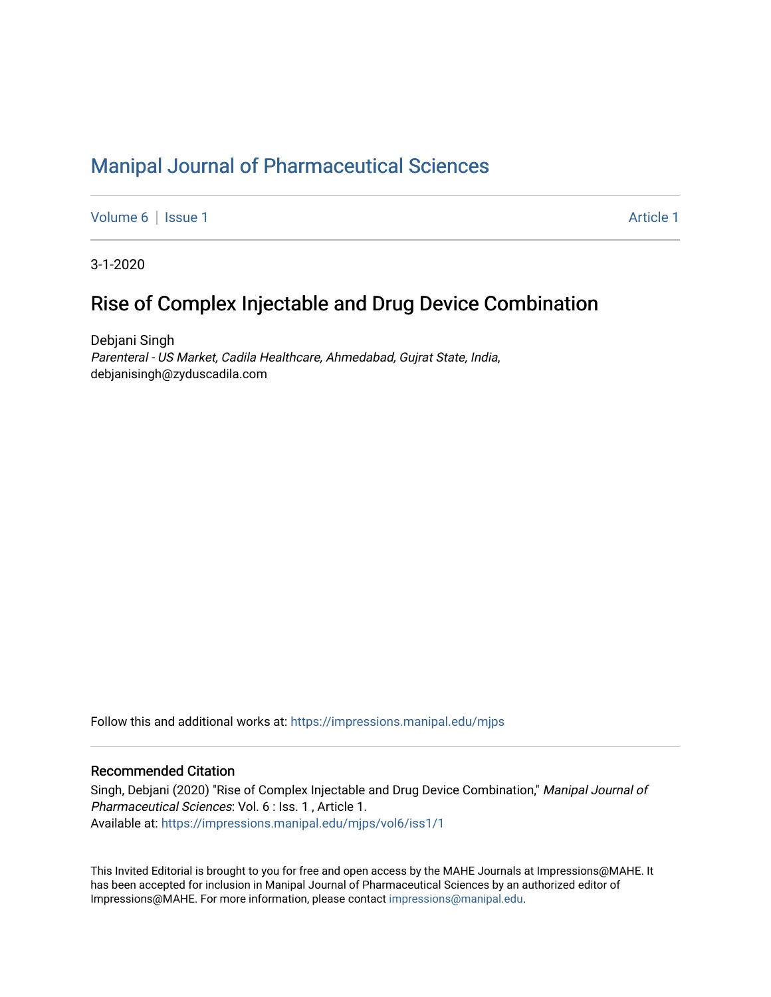# [Manipal Journal of Pharmaceutical Sciences](https://impressions.manipal.edu/mjps)

[Volume 6](https://impressions.manipal.edu/mjps/vol6) | [Issue 1](https://impressions.manipal.edu/mjps/vol6/iss1) Article 1

3-1-2020

## Rise of Complex Injectable and Drug Device Combination

Debjani Singh Parenteral - US Market, Cadila Healthcare, Ahmedabad, Gujrat State, India, debjanisingh@zyduscadila.com

Follow this and additional works at: [https://impressions.manipal.edu/mjps](https://impressions.manipal.edu/mjps?utm_source=impressions.manipal.edu%2Fmjps%2Fvol6%2Fiss1%2F1&utm_medium=PDF&utm_campaign=PDFCoverPages)

#### Recommended Citation

Singh, Debjani (2020) "Rise of Complex Injectable and Drug Device Combination," Manipal Journal of Pharmaceutical Sciences: Vol. 6 : Iss. 1 , Article 1. Available at: [https://impressions.manipal.edu/mjps/vol6/iss1/1](https://impressions.manipal.edu/mjps/vol6/iss1/1?utm_source=impressions.manipal.edu%2Fmjps%2Fvol6%2Fiss1%2F1&utm_medium=PDF&utm_campaign=PDFCoverPages)

This Invited Editorial is brought to you for free and open access by the MAHE Journals at Impressions@MAHE. It has been accepted for inclusion in Manipal Journal of Pharmaceutical Sciences by an authorized editor of Impressions@MAHE. For more information, please contact [impressions@manipal.edu](mailto:impressions@manipal.edu).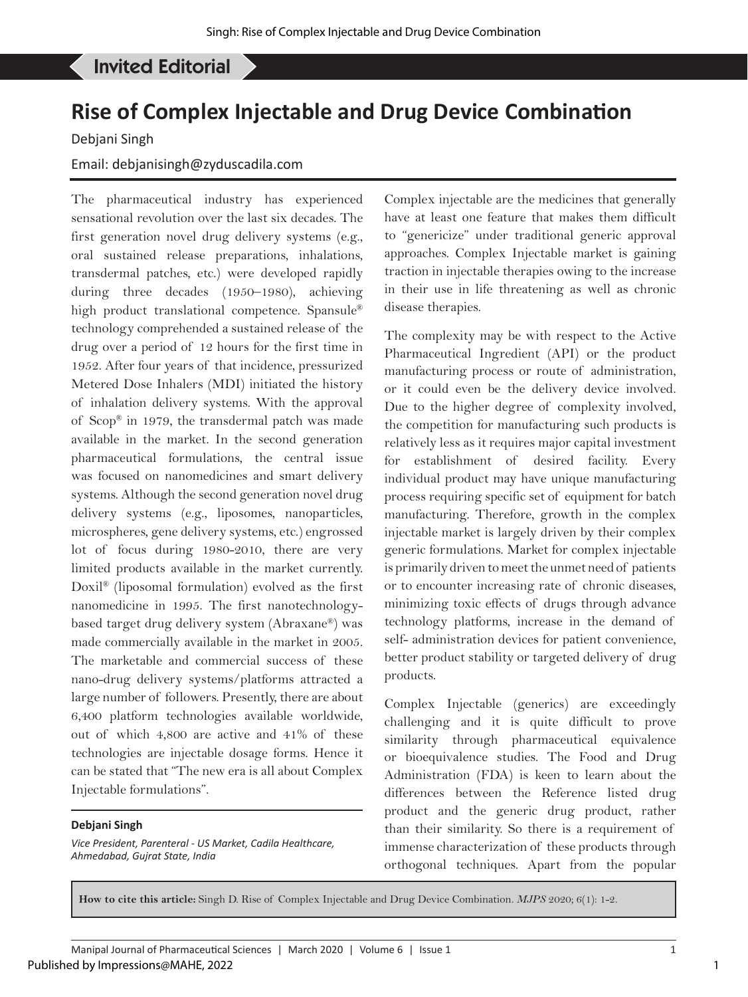#### Singh D, *et al*: Rise of Complex Injectable and Drug Device Combination Invited Editorial

# **Rise of Complex Injectable and Drug Device Combination**

Debjani Singh

## Email: debjanisingh@zyduscadila.com

The pharmaceutical industry has experienced sensational revolution over the last six decades. The first generation novel drug delivery systems (e.g., oral sustained release preparations, inhalations, transdermal patches, etc.) were developed rapidly during three decades (1950–1980), achieving high product translational competence. Spansule® technology comprehended a sustained release of the drug over a period of 12 hours for the first time in 1952. After four years of that incidence, pressurized Metered Dose Inhalers (MDI) initiated the history of inhalation delivery systems. With the approval of Scop® in 1979, the transdermal patch was made available in the market. In the second generation pharmaceutical formulations, the central issue was focused on nanomedicines and smart delivery systems. Although the second generation novel drug delivery systems (e.g., liposomes, nanoparticles, microspheres, gene delivery systems, etc.) engrossed lot of focus during 1980-2010, there are very limited products available in the market currently. Doxil® (liposomal formulation) evolved as the first nanomedicine in 1995. The first nanotechnologybased target drug delivery system (Abraxane®) was made commercially available in the market in 2005. The marketable and commercial success of these nano-drug delivery systems/platforms attracted a large number of followers. Presently, there are about 6,400 platform technologies available worldwide, out of which 4,800 are active and 41% of these technologies are injectable dosage forms. Hence it can be stated that "The new era is all about Complex Injectable formulations".

#### **Debjani Singh**

*Vice President, Parenteral - US Market, Cadila Healthcare, Ahmedabad, Gujrat State, India*

Complex injectable are the medicines that generally have at least one feature that makes them difficult to "genericize" under traditional generic approval approaches. Complex Injectable market is gaining traction in injectable therapies owing to the increase in their use in life threatening as well as chronic disease therapies.

The complexity may be with respect to the Active Pharmaceutical Ingredient (API) or the product manufacturing process or route of administration, or it could even be the delivery device involved. Due to the higher degree of complexity involved, the competition for manufacturing such products is relatively less as it requires major capital investment for establishment of desired facility. Every individual product may have unique manufacturing process requiring specific set of equipment for batch manufacturing. Therefore, growth in the complex injectable market is largely driven by their complex generic formulations. Market for complex injectable is primarily driven to meet the unmet need of patients or to encounter increasing rate of chronic diseases, minimizing toxic effects of drugs through advance technology platforms, increase in the demand of self- administration devices for patient convenience, better product stability or targeted delivery of drug products.

Complex Injectable (generics) are exceedingly challenging and it is quite difficult to prove similarity through pharmaceutical equivalence or bioequivalence studies. The Food and Drug Administration (FDA) is keen to learn about the differences between the Reference listed drug product and the generic drug product, rather than their similarity. So there is a requirement of immense characterization of these products through orthogonal techniques. Apart from the popular

**How to cite this article:** Singh D. Rise of Complex Injectable and Drug Device Combination. *MJPS* 2020; 6(1): 1-2.

1